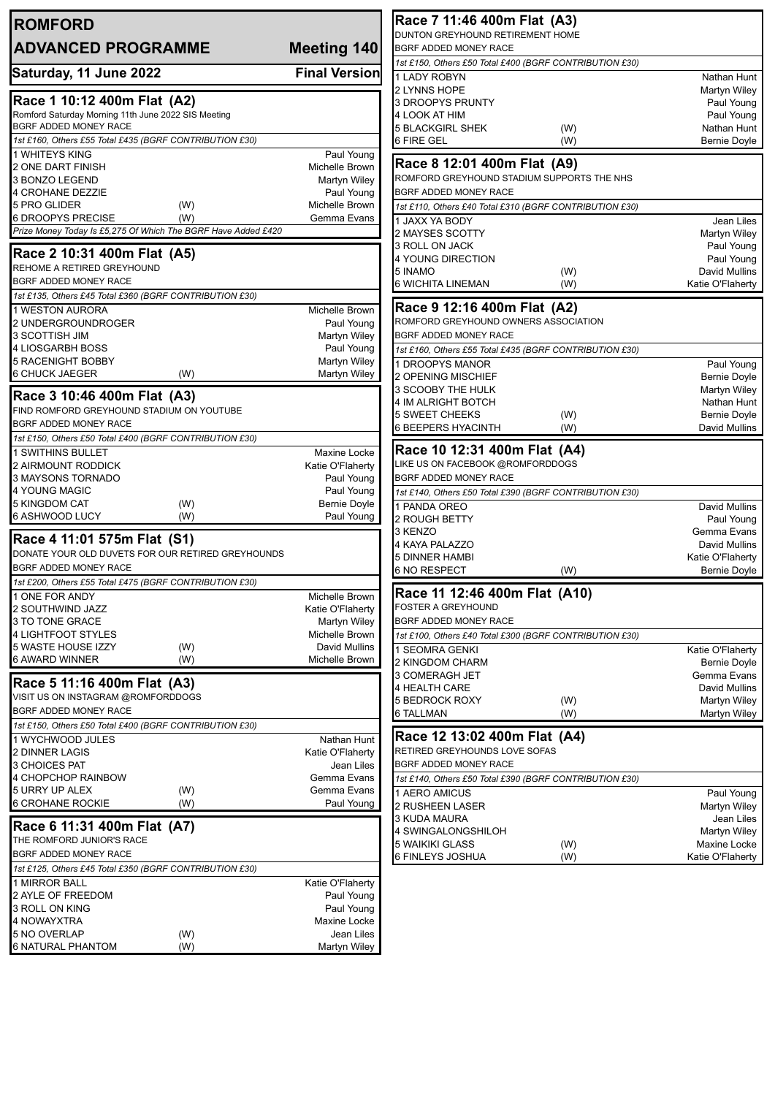| <b>ROMFORD</b>                                                               |                                 | Race 7 11:46 400m Flat (A3)                                      |                                         |  |
|------------------------------------------------------------------------------|---------------------------------|------------------------------------------------------------------|-----------------------------------------|--|
| <b>ADVANCED PROGRAMME</b>                                                    | <b>Meeting 140</b>              | DUNTON GREYHOUND RETIREMENT HOME<br>BGRF ADDED MONEY RACE        |                                         |  |
|                                                                              |                                 | 1st £150, Others £50 Total £400 (BGRF CONTRIBUTION £30)          |                                         |  |
| Saturday, 11 June 2022                                                       | <b>Final Version</b>            | <b>LADY ROBYN</b>                                                | Nathan Hunt                             |  |
|                                                                              |                                 | 2 LYNNS HOPE                                                     | Martyn Wiley                            |  |
| Race 1 10:12 400m Flat (A2)                                                  |                                 | 3 DROOPYS PRUNTY                                                 | Paul Young                              |  |
| Romford Saturday Morning 11th June 2022 SIS Meeting<br>BGRF ADDED MONEY RACE |                                 | 4 LOOK AT HIM<br><b>5 BLACKGIRL SHEK</b>                         | Paul Young                              |  |
| 1st £160, Others £55 Total £435 (BGRF CONTRIBUTION £30)                      |                                 | (W)<br><b>6 FIRE GEL</b><br>(W)                                  | Nathan Hunt<br><b>Bernie Doyle</b>      |  |
| 1 WHITEYS KING                                                               | Paul Young                      |                                                                  |                                         |  |
| 2 ONE DART FINISH                                                            | Michelle Brown                  | Race 8 12:01 400m Flat (A9)                                      |                                         |  |
| 3 BONZO LEGEND                                                               | <b>Martyn Wiley</b>             | ROMFORD GREYHOUND STADIUM SUPPORTS THE NHS                       |                                         |  |
| 4 CROHANE DEZZIE                                                             | Paul Young                      | BGRF ADDED MONEY RACE                                            |                                         |  |
| 5 PRO GLIDER<br>(W)<br><b>6 DROOPYS PRECISE</b><br>(W)                       | Michelle Brown<br>Gemma Evans   | 1st £110, Others £40 Total £310 (BGRF CONTRIBUTION £30)          |                                         |  |
| Prize Money Today Is £5,275 Of Which The BGRF Have Added £420                |                                 | 1 JAXX YA BODY<br>2 MAYSES SCOTTY                                | Jean Liles<br>Martyn Wiley              |  |
|                                                                              |                                 | 3 ROLL ON JACK                                                   | Paul Young                              |  |
| Race 2 10:31 400m Flat (A5)                                                  |                                 | 4 YOUNG DIRECTION                                                | Paul Young                              |  |
| REHOME A RETIRED GREYHOUND<br><b>BGRF ADDED MONEY RACE</b>                   |                                 | 5 INAMO<br>(W)                                                   | <b>David Mullins</b>                    |  |
| 1st £135, Others £45 Total £360 (BGRF CONTRIBUTION £30)                      |                                 | 6 WICHITA LINEMAN<br>(W)                                         | Katie O'Flaherty                        |  |
| 1 WESTON AURORA                                                              | Michelle Brown                  | Race 9 12:16 400m Flat (A2)                                      |                                         |  |
| 2 UNDERGROUNDROGER                                                           | Paul Young                      | ROMFORD GREYHOUND OWNERS ASSOCIATION                             |                                         |  |
| 3 SCOTTISH JIM                                                               | Martyn Wiley                    | BGRF ADDED MONEY RACE                                            |                                         |  |
| 4 LIOSGARBH BOSS                                                             | Paul Young                      | 1st £160, Others £55 Total £435 (BGRF CONTRIBUTION £30)          |                                         |  |
| <b>5 RACENIGHT BOBBY</b>                                                     | Martyn Wiley                    | 1 DROOPYS MANOR                                                  | Paul Young                              |  |
| <b>6 CHUCK JAEGER</b><br>(W)                                                 | Martyn Wiley                    | 2 OPENING MISCHIEF                                               | <b>Bernie Doyle</b>                     |  |
| Race 3 10:46 400m Flat (A3)                                                  |                                 | 3 SCOOBY THE HULK<br>4 IM ALRIGHT BOTCH                          | Martyn Wiley<br>Nathan Hunt             |  |
| FIND ROMFORD GREYHOUND STADIUM ON YOUTUBE                                    |                                 | <b>5 SWEET CHEEKS</b><br>(W)                                     | <b>Bernie Doyle</b>                     |  |
| BGRF ADDED MONEY RACE                                                        |                                 | 6 BEEPERS HYACINTH<br>(W)                                        | David Mullins                           |  |
| 1st £150, Others £50 Total £400 (BGRF CONTRIBUTION £30)                      |                                 |                                                                  |                                         |  |
| 1 SWITHINS BULLET                                                            | Maxine Locke                    | Race 10 12:31 400m Flat (A4)<br>LIKE US ON FACEBOOK @ROMFORDDOGS |                                         |  |
| 2 AIRMOUNT RODDICK<br>3 MAYSONS TORNADO                                      | Katie O'Flaherty<br>Paul Young  | BGRF ADDED MONEY RACE                                            |                                         |  |
| 4 YOUNG MAGIC                                                                | Paul Young                      | 1st £140, Others £50 Total £390 (BGRF CONTRIBUTION £30)          |                                         |  |
| 5 KINGDOM CAT<br>(W)                                                         | <b>Bernie Doyle</b>             | 1 PANDA OREO                                                     | David Mullins                           |  |
| 6 ASHWOOD LUCY<br>(W)                                                        | Paul Young                      | 2 ROUGH BETTY                                                    | Paul Young                              |  |
| Race 4 11:01 575m Flat (S1)                                                  |                                 | 3 KENZO                                                          | Gemma Evans                             |  |
| DONATE YOUR OLD DUVETS FOR OUR RETIRED GREYHOUNDS                            |                                 | 4 KAYA PALAZZO                                                   | David Mullins                           |  |
| <b>BGRF ADDED MONEY RACE</b>                                                 |                                 | <b>5 DINNER HAMBI</b><br><b>6 NO RESPECT</b><br>(W)              | Katie O'Flaherty<br><b>Bernie Doyle</b> |  |
| 1st £200, Others £55 Total £475 (BGRF CONTRIBUTION £30)                      |                                 |                                                                  |                                         |  |
| 1 ONE FOR ANDY                                                               | Michelle Brown                  | Race 11 12:46 400m Flat (A10)                                    |                                         |  |
| 2 SOUTHWIND JAZZ                                                             | Katie O'Flaherty                | <b>FOSTER A GREYHOUND</b>                                        |                                         |  |
| 3 TO TONE GRACE                                                              | Martyn Wiley                    | BGRF ADDED MONEY RACE                                            |                                         |  |
| 4 LIGHTFOOT STYLES<br>5 WASTE HOUSE IZZY<br>(W)                              | Michelle Brown<br>David Mullins | 1st £100, Others £40 Total £300 (BGRF CONTRIBUTION £30)          |                                         |  |
| 6 AWARD WINNER<br>(W)                                                        | Michelle Brown                  | 1 SEOMRA GENKI<br>2 KINGDOM CHARM                                | Katie O'Flaherty<br><b>Bernie Doyle</b> |  |
|                                                                              |                                 | 3 COMERAGH JET                                                   | Gemma Evans                             |  |
| Race 5 11:16 400m Flat (A3)                                                  |                                 | 4 HEALTH CARE                                                    | David Mullins                           |  |
| VISIT US ON INSTAGRAM @ROMFORDDOGS                                           |                                 | <b>5 BEDROCK ROXY</b><br>(W)                                     | Martyn Wiley                            |  |
| <b>BGRF ADDED MONEY RACE</b>                                                 |                                 | 6 TALLMAN<br>(W)                                                 | Martyn Wiley                            |  |
| 1st £150, Others £50 Total £400 (BGRF CONTRIBUTION £30)                      | Nathan Hunt                     | Race 12 13:02 400m Flat (A4)                                     |                                         |  |
| 1 WYCHWOOD JULES<br>2 DINNER LAGIS                                           | Katie O'Flaherty                | RETIRED GREYHOUNDS LOVE SOFAS                                    |                                         |  |
| 3 CHOICES PAT                                                                | Jean Liles                      | BGRF ADDED MONEY RACE                                            |                                         |  |
| 4 CHOPCHOP RAINBOW                                                           | Gemma Evans                     | 1st £140, Others £50 Total £390 (BGRF CONTRIBUTION £30)          |                                         |  |
| 5 URRY UP ALEX<br>(W)                                                        | Gemma Evans                     | 1 AERO AMICUS                                                    | Paul Young                              |  |
| <b>6 CROHANE ROCKIE</b><br>(W)                                               | Paul Young                      | 2 RUSHEEN LASER                                                  | <b>Martyn Wiley</b>                     |  |
| Race 6 11:31 400m Flat (A7)                                                  |                                 | 3 KUDA MAURA                                                     | Jean Liles                              |  |
| THE ROMFORD JUNIOR'S RACE                                                    |                                 | 4 SWINGALONGSHILOH<br>5 WAIKIKI GLASS<br>(W)                     | <b>Martyn Wiley</b><br>Maxine Locke     |  |
| BGRF ADDED MONEY RACE                                                        |                                 | 6 FINLEYS JOSHUA<br>(W)                                          | Katie O'Flaherty                        |  |
| 1st £125, Others £45 Total £350 (BGRF CONTRIBUTION £30)                      |                                 |                                                                  |                                         |  |
| 1 MIRROR BALL                                                                | Katie O'Flaherty                |                                                                  |                                         |  |
| 2 AYLE OF FREEDOM                                                            | Paul Young                      |                                                                  |                                         |  |
| 3 ROLL ON KING<br>4 NOWAYXTRA                                                | Paul Young<br>Maxine Locke      |                                                                  |                                         |  |
| 5 NO OVERLAP<br>(W)                                                          | Jean Liles                      |                                                                  |                                         |  |
| <b>6 NATURAL PHANTOM</b><br>(W)                                              | Martyn Wiley                    |                                                                  |                                         |  |
|                                                                              |                                 |                                                                  |                                         |  |